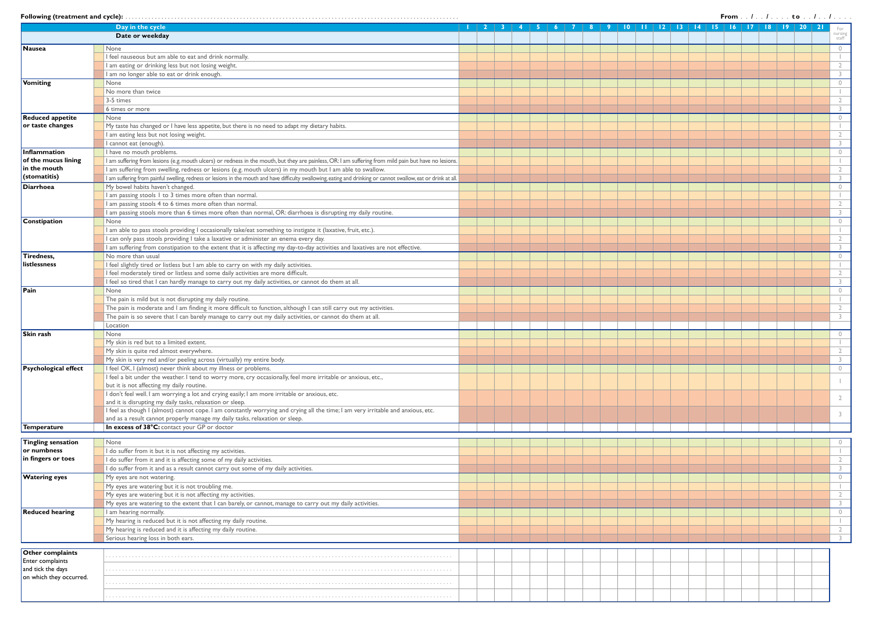|  |  | llowing (treatment and cycle): |  |  |  |  |  |  |  |  |  |  |  |  |  |  |  |  |  |  |  |  |  |  |  |  |  |  |  |  |  |  |  |  |  |  |  |  |  |  |  |  |
|--|--|--------------------------------|--|--|--|--|--|--|--|--|--|--|--|--|--|--|--|--|--|--|--|--|--|--|--|--|--|--|--|--|--|--|--|--|--|--|--|--|--|--|--|--|
|--|--|--------------------------------|--|--|--|--|--|--|--|--|--|--|--|--|--|--|--|--|--|--|--|--|--|--|--|--|--|--|--|--|--|--|--|--|--|--|--|--|--|--|--|--|

|                             |                                                                                                                                                                   |  |  |  |  |  |    | From / / to / /                   |       |                  |
|-----------------------------|-------------------------------------------------------------------------------------------------------------------------------------------------------------------|--|--|--|--|--|----|-----------------------------------|-------|------------------|
|                             | Day in the cycle                                                                                                                                                  |  |  |  |  |  | 17 | $\overline{19}$<br>$\overline{8}$ | $-20$ |                  |
|                             | Date or weekday                                                                                                                                                   |  |  |  |  |  |    |                                   |       | nursing<br>staff |
|                             |                                                                                                                                                                   |  |  |  |  |  |    |                                   |       |                  |
| <b>Nausea</b>               | None                                                                                                                                                              |  |  |  |  |  |    |                                   |       | $\circ$          |
|                             | I feel nauseous but am able to eat and drink normally.                                                                                                            |  |  |  |  |  |    |                                   |       |                  |
|                             | I am eating or drinking less but not losing weight.                                                                                                               |  |  |  |  |  |    |                                   |       | $\overline{2}$   |
|                             | I am no longer able to eat or drink enough.                                                                                                                       |  |  |  |  |  |    |                                   |       | $\mathcal{L}$    |
| Vomiting                    | None                                                                                                                                                              |  |  |  |  |  |    |                                   |       | $\circ$          |
|                             | No more than twice                                                                                                                                                |  |  |  |  |  |    |                                   |       |                  |
|                             | 3-5 times                                                                                                                                                         |  |  |  |  |  |    |                                   |       | $\overline{2}$   |
|                             | 6 times or more                                                                                                                                                   |  |  |  |  |  |    |                                   |       | 3                |
| <b>Reduced appetite</b>     | None                                                                                                                                                              |  |  |  |  |  |    |                                   |       | $\circ$          |
| or taste changes            | My taste has changed or I have less appetite, but there is no need to adapt my dietary habits.                                                                    |  |  |  |  |  |    |                                   |       |                  |
|                             | I am eating less but not losing weight.                                                                                                                           |  |  |  |  |  |    |                                   |       | $\overline{2}$   |
|                             | I cannot eat (enough).                                                                                                                                            |  |  |  |  |  |    |                                   |       | 3                |
| Inflammation                | I have no mouth problems.                                                                                                                                         |  |  |  |  |  |    |                                   |       | $\circ$          |
| of the mucus lining         | I am suffering from lesions (e.g. mouth ulcers) or redness in the mouth, but they are painless, OR: I am suffering from mild pain but have no lesions.            |  |  |  |  |  |    |                                   |       |                  |
| in the mouth                | I am suffering from swelling, redness or lesions (e.g. mouth ulcers) in my mouth but I am able to swallow.                                                        |  |  |  |  |  |    |                                   |       | $\overline{2}$   |
| (stomatitis)                | I am suffering from painful swelling, redness or lesions in the mouth and have difficulty swallowing, eating and drinking or cannot swallow, eat or drink at all. |  |  |  |  |  |    |                                   |       | 3                |
| <b>Diarrhoea</b>            | My bowel habits haven't changed.                                                                                                                                  |  |  |  |  |  |    |                                   |       | $\circ$          |
|                             | I am passing stools 1 to 3 times more often than normal.                                                                                                          |  |  |  |  |  |    |                                   |       |                  |
|                             | I am passing stools 4 to 6 times more often than normal.                                                                                                          |  |  |  |  |  |    |                                   |       | $\overline{2}$   |
|                             | I am passing stools more than 6 times more often than normal, OR: diarrhoea is disrupting my daily routine.                                                       |  |  |  |  |  |    |                                   |       | $\mathcal{L}$    |
| Constipation                | None                                                                                                                                                              |  |  |  |  |  |    |                                   |       | $\circ$          |
|                             | I am able to pass stools providing I occasionally take/eat something to instigate it (laxative, fruit, etc.).                                                     |  |  |  |  |  |    |                                   |       |                  |
|                             | I can only pass stools providing I take a laxative or administer an enema every day.                                                                              |  |  |  |  |  |    |                                   |       | $\overline{2}$   |
|                             |                                                                                                                                                                   |  |  |  |  |  |    |                                   |       | $\mathcal{L}$    |
|                             | I am suffering from constipation to the extent that it is affecting my day-to-day activities and laxatives are not effective.                                     |  |  |  |  |  |    |                                   |       |                  |
| Tiredness,                  | No more than usual                                                                                                                                                |  |  |  |  |  |    |                                   |       | $\circ$          |
| listlessness                | I feel slightly tired or listless but I am able to carry on with my daily activities.                                                                             |  |  |  |  |  |    |                                   |       |                  |
|                             | I feel moderately tired or listless and some daily activities are more difficult.                                                                                 |  |  |  |  |  |    |                                   |       | $\overline{2}$   |
|                             | I feel so tired that I can hardly manage to carry out my daily activities, or cannot do them at all.                                                              |  |  |  |  |  |    |                                   |       |                  |
| Pain                        | None                                                                                                                                                              |  |  |  |  |  |    |                                   |       | $\circ$          |
|                             | The pain is mild but is not disrupting my daily routine.                                                                                                          |  |  |  |  |  |    |                                   |       |                  |
|                             | The pain is moderate and I am finding it more difficult to function, although I can still carry out my activities.                                                |  |  |  |  |  |    |                                   |       | $\overline{2}$   |
|                             | The pain is so severe that I can barely manage to carry out my daily activities, or cannot do them at all.                                                        |  |  |  |  |  |    |                                   |       | 3                |
|                             | Location                                                                                                                                                          |  |  |  |  |  |    |                                   |       |                  |
| <b>Skin rash</b>            | None                                                                                                                                                              |  |  |  |  |  |    |                                   |       | $\circ$          |
|                             | My skin is red but to a limited extent.                                                                                                                           |  |  |  |  |  |    |                                   |       |                  |
|                             | My skin is quite red almost everywhere.                                                                                                                           |  |  |  |  |  |    |                                   |       | $\overline{2}$   |
|                             | My skin is very red and/or peeling across (virtually) my entire body.                                                                                             |  |  |  |  |  |    |                                   |       | $\mathcal{E}$    |
| <b>Psychological effect</b> | I feel OK, I (almost) never think about my illness or problems.                                                                                                   |  |  |  |  |  |    |                                   |       | $\circ$          |
|                             | I feel a bit under the weather. I tend to worry more, cry occasionally, feel more irritable or anxious, etc.,                                                     |  |  |  |  |  |    |                                   |       |                  |
|                             | but it is not affecting my daily routine.                                                                                                                         |  |  |  |  |  |    |                                   |       |                  |
|                             | I don't feel well. I am worrying a lot and crying easily; I am more irritable or anxious, etc.                                                                    |  |  |  |  |  |    |                                   |       |                  |
|                             | and it is disrupting my daily tasks, relaxation or sleep.                                                                                                         |  |  |  |  |  |    |                                   |       |                  |
|                             | I feel as though I (almost) cannot cope. I am constantly worrying and crying all the time; I am very irritable and anxious, etc.                                  |  |  |  |  |  |    |                                   |       | $\overline{3}$   |
|                             | and as a result cannot properly manage my daily tasks, relaxation or sleep.                                                                                       |  |  |  |  |  |    |                                   |       |                  |
| Temperature                 | In excess of 38°C: contact your GP or doctor                                                                                                                      |  |  |  |  |  |    |                                   |       |                  |
|                             |                                                                                                                                                                   |  |  |  |  |  |    |                                   |       |                  |
| Tingling sensation          | None                                                                                                                                                              |  |  |  |  |  |    |                                   |       | $\circ$          |
| or numbness                 | I do suffer from it but it is not affecting my activities.                                                                                                        |  |  |  |  |  |    |                                   |       |                  |
| in fingers or toes          | I do suffer from it and it is affecting some of my daily activities.                                                                                              |  |  |  |  |  |    |                                   |       | $\overline{2}$   |
|                             | I do suffer from it and as a result cannot carry out some of my daily activities.                                                                                 |  |  |  |  |  |    |                                   |       | $\mathcal{E}$    |
| <b>Watering eyes</b>        | My eyes are not watering.                                                                                                                                         |  |  |  |  |  |    |                                   |       | $\circ$          |
|                             | My eyes are watering but it is not troubling me.                                                                                                                  |  |  |  |  |  |    |                                   |       |                  |
|                             | My eyes are watering but it is not affecting my activities.                                                                                                       |  |  |  |  |  |    |                                   |       | $\overline{2}$   |
|                             | My eyes are watering to the extent that I can barely, or cannot, manage to carry out my daily activities.                                                         |  |  |  |  |  |    |                                   |       | $\mathcal{E}$    |
| <b>Reduced hearing</b>      | I am hearing normally.                                                                                                                                            |  |  |  |  |  |    |                                   |       | $\circ$          |
|                             | My hearing is reduced but it is not affecting my daily routine.                                                                                                   |  |  |  |  |  |    |                                   |       | $\mathbf{I}$     |
|                             | My hearing is reduced and it is affecting my daily routine.                                                                                                       |  |  |  |  |  |    |                                   |       | $\sqrt{2}$       |
|                             | Serious hearing loss in both ears.                                                                                                                                |  |  |  |  |  |    |                                   |       | $\mathcal{L}$    |
|                             |                                                                                                                                                                   |  |  |  |  |  |    |                                   |       |                  |
| Other complaints            |                                                                                                                                                                   |  |  |  |  |  |    |                                   |       |                  |
| <b>Enter complaints</b>     |                                                                                                                                                                   |  |  |  |  |  |    |                                   |       |                  |
| and tick the days           |                                                                                                                                                                   |  |  |  |  |  |    |                                   |       |                  |
| on which they occurred.     |                                                                                                                                                                   |  |  |  |  |  |    |                                   |       |                  |
|                             |                                                                                                                                                                   |  |  |  |  |  |    |                                   |       |                  |
|                             |                                                                                                                                                                   |  |  |  |  |  |    |                                   |       |                  |